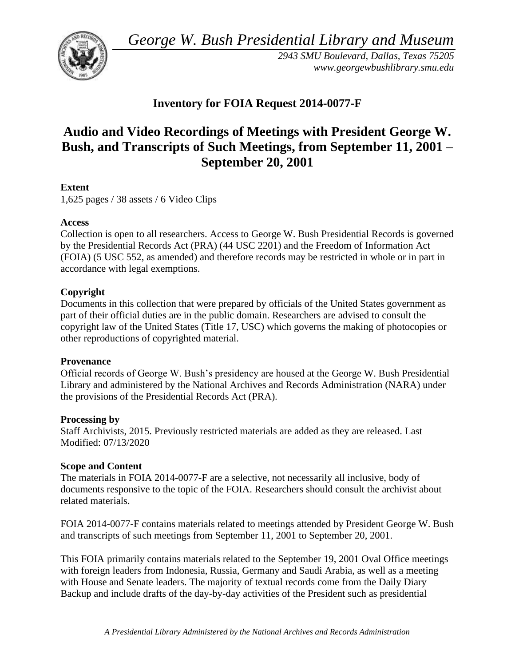*George W. Bush Presidential Library and Museum* 



*2943 SMU Boulevard, Dallas, Texas 75205 <www.georgewbushlibrary.smu.edu>*

# **Inventory for FOIA Request 2014-0077-F**

# **Audio and Video Recordings of Meetings with President George W. Bush, and Transcripts of Such Meetings, from September 11, 2001 – September 20, 2001**

# **Extent**

1,625 pages / 38 assets / 6 Video Clips

# **Access**

Collection is open to all researchers. Access to George W. Bush Presidential Records is governed by the Presidential Records Act (PRA) (44 USC 2201) and the Freedom of Information Act (FOIA) (5 USC 552, as amended) and therefore records may be restricted in whole or in part in accordance with legal exemptions.

# **Copyright**

Documents in this collection that were prepared by officials of the United States government as part of their official duties are in the public domain. Researchers are advised to consult the copyright law of the United States (Title 17, USC) which governs the making of photocopies or other reproductions of copyrighted material.

# **Provenance**

Official records of George W. Bush's presidency are housed at the George W. Bush Presidential Library and administered by the National Archives and Records Administration (NARA) under the provisions of the Presidential Records Act (PRA).

# **Processing by**

Staff Archivists, 2015. Previously restricted materials are added as they are released. Last Modified: 07/13/2020

# **Scope and Content**

The materials in FOIA 2014-0077-F are a selective, not necessarily all inclusive, body of documents responsive to the topic of the FOIA. Researchers should consult the archivist about related materials.

FOIA 2014-0077-F contains materials related to meetings attended by President George W. Bush and transcripts of such meetings from September 11, 2001 to September 20, 2001.

This FOIA primarily contains materials related to the September 19, 2001 Oval Office meetings with foreign leaders from Indonesia, Russia, Germany and Saudi Arabia, as well as a meeting with House and Senate leaders. The majority of textual records come from the Daily Diary Backup and include drafts of the day-by-day activities of the President such as presidential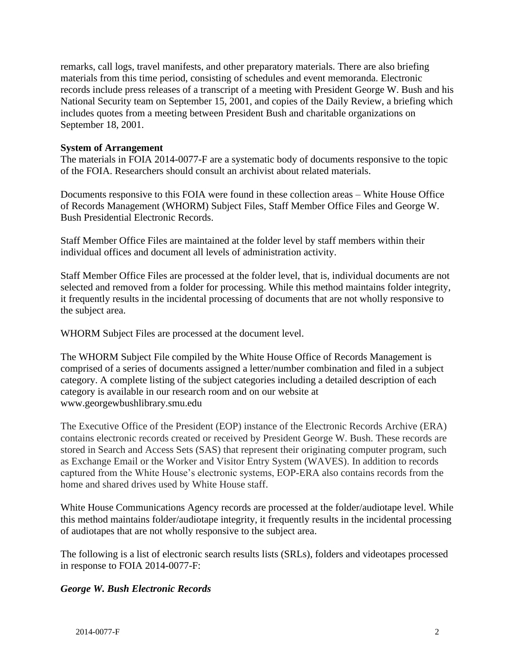September 18, 2001. remarks, call logs, travel manifests, and other preparatory materials. There are also briefing materials from this time period, consisting of schedules and event memoranda. Electronic records include press releases of a transcript of a meeting with President George W. Bush and his National Security team on September 15, 2001, and copies of the Daily Review, a briefing which includes quotes from a meeting between President Bush and charitable organizations on

#### **System of Arrangement**

 The materials in FOIA 2014-0077-F are a systematic body of documents responsive to the topic of the FOIA. Researchers should consult an archivist about related materials.

Documents responsive to this FOIA were found in these collection areas – White House Office of Records Management (WHORM) Subject Files, Staff Member Office Files and George W. Bush Presidential Electronic Records.

Staff Member Office Files are maintained at the folder level by staff members within their individual offices and document all levels of administration activity.

Staff Member Office Files are processed at the folder level, that is, individual documents are not selected and removed from a folder for processing. While this method maintains folder integrity, it frequently results in the incidental processing of documents that are not wholly responsive to the subject area.

WHORM Subject Files are processed at the document level.

The WHORM Subject File compiled by the White House Office of Records Management is comprised of a series of documents assigned a letter/number combination and filed in a subject category. A complete listing of the subject categories including a detailed description of each category is available in our research room and on our website at <www.georgewbushlibrary.smu.edu>

The Executive Office of the President (EOP) instance of the Electronic Records Archive (ERA) contains electronic records created or received by President George W. Bush. These records are stored in Search and Access Sets (SAS) that represent their originating computer program, such as Exchange Email or the Worker and Visitor Entry System (WAVES). In addition to records captured from the White House's electronic systems, EOP-ERA also contains records from the home and shared drives used by White House staff.

White House Communications Agency records are processed at the folder/audiotape level. While this method maintains folder/audiotape integrity, it frequently results in the incidental processing of audiotapes that are not wholly responsive to the subject area.

The following is a list of electronic search results lists (SRLs), folders and videotapes processed in response to FOIA 2014-0077-F:

# *George W. Bush Electronic Records*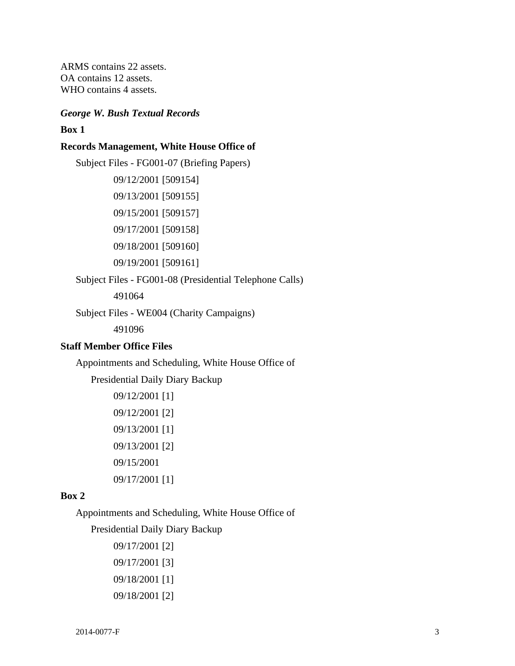ARMS contains 22 assets. OA contains 12 assets. WHO contains 4 assets.

#### *George W. Bush Textual Records*

#### **Box 1**

#### **Records Management, White House Office of**

Subject Files - FG001-07 (Briefing Papers) 09/12/2001 [509154] 09/13/2001 [509155] 09/15/2001 [509157] 09/17/2001 [509158] 09/18/2001 [509160] 09/19/2001 [509161] Subject Files - FG001-08 (Presidential Telephone Calls)

491064

Subject Files - WE004 (Charity Campaigns)

491096

#### **Staff Member Office Files**

Appointments and Scheduling, White House Office of

Presidential Daily Diary Backup

```
09/12/2001 [1] 
09/12/2001 [2] 
09/13/2001 [1] 
09/13/2001 [2] 
09/15/2001 
09/17/2001 [1]
```
#### **Box 2**

Appointments and Scheduling, White House Office of

Presidential Daily Diary Backup

09/17/2001 [2] 09/17/2001 [3] 09/18/2001 [1] 09/18/2001 [2]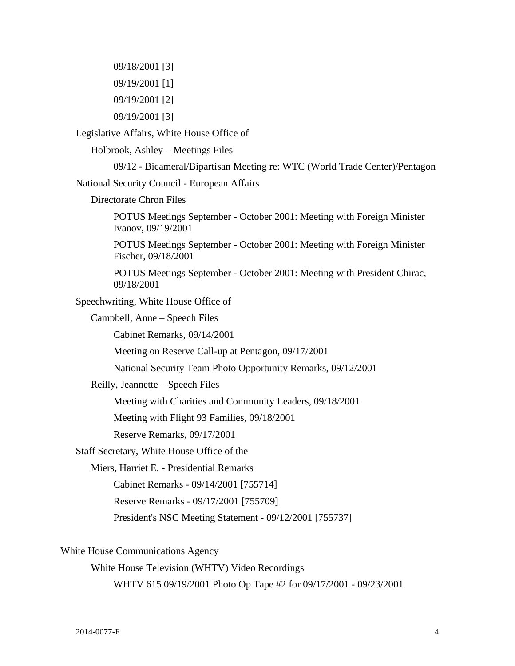09/18/2001 [3] 09/19/2001 [1] 09/19/2001 [2] 09/19/2001 [3]

Legislative Affairs, White House Office of

Holbrook, Ashley – Meetings Files

09/12 - Bicameral/Bipartisan Meeting re: WTC (World Trade Center)/Pentagon

National Security Council - European Affairs

Directorate Chron Files

POTUS Meetings September - October 2001: Meeting with Foreign Minister Ivanov, 09/19/2001

POTUS Meetings September - October 2001: Meeting with Foreign Minister Fischer, 09/18/2001

POTUS Meetings September - October 2001: Meeting with President Chirac, 09/18/2001

Speechwriting, White House Office of

Campbell, Anne – Speech Files

Cabinet Remarks, 09/14/2001

Meeting on Reserve Call-up at Pentagon, 09/17/2001

National Security Team Photo Opportunity Remarks, 09/12/2001

Reilly, Jeannette – Speech Files

Meeting with Charities and Community Leaders, 09/18/2001

Meeting with Flight 93 Families, 09/18/2001

Reserve Remarks, 09/17/2001

Staff Secretary, White House Office of the

Miers, Harriet E. - Presidential Remarks

Cabinet Remarks - 09/14/2001 [755714]

Reserve Remarks - 09/17/2001 [755709]

President's NSC Meeting Statement - 09/12/2001 [755737]

White House Communications Agency

White House Television (WHTV) Video Recordings

WHTV 615 09/19/2001 Photo Op Tape #2 for 09/17/2001 - 09/23/2001